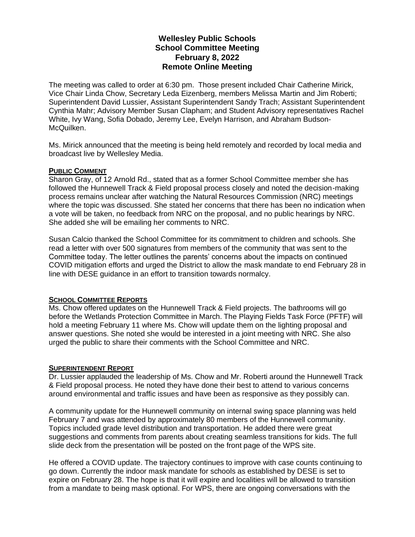# **Wellesley Public Schools School Committee Meeting February 8, 2022 Remote Online Meeting**

The meeting was called to order at 6:30 pm. Those present included Chair Catherine Mirick, Vice Chair Linda Chow, Secretary Leda Eizenberg, members Melissa Martin and Jim Roberti; Superintendent David Lussier, Assistant Superintendent Sandy Trach; Assistant Superintendent Cynthia Mahr; Advisory Member Susan Clapham; and Student Advisory representatives Rachel White, Ivy Wang, Sofia Dobado, Jeremy Lee, Evelyn Harrison, and Abraham Budson-McQuilken.

Ms. Mirick announced that the meeting is being held remotely and recorded by local media and broadcast live by Wellesley Media.

#### **PUBLIC COMMENT**

Sharon Gray, of 12 Arnold Rd., stated that as a former School Committee member she has followed the Hunnewell Track & Field proposal process closely and noted the decision-making process remains unclear after watching the Natural Resources Commission (NRC) meetings where the topic was discussed. She stated her concerns that there has been no indication when a vote will be taken, no feedback from NRC on the proposal, and no public hearings by NRC. She added she will be emailing her comments to NRC.

Susan Calcio thanked the School Committee for its commitment to children and schools. She read a letter with over 500 signatures from members of the community that was sent to the Committee today. The letter outlines the parents' concerns about the impacts on continued COVID mitigation efforts and urged the District to allow the mask mandate to end February 28 in line with DESE guidance in an effort to transition towards normalcy.

## **SCHOOL COMMITTEE REPORTS**

Ms. Chow offered updates on the Hunnewell Track & Field projects. The bathrooms will go before the Wetlands Protection Committee in March. The Playing Fields Task Force (PFTF) will hold a meeting February 11 where Ms. Chow will update them on the lighting proposal and answer questions. She noted she would be interested in a joint meeting with NRC. She also urged the public to share their comments with the School Committee and NRC.

#### **SUPERINTENDENT REPORT**

Dr. Lussier applauded the leadership of Ms. Chow and Mr. Roberti around the Hunnewell Track & Field proposal process. He noted they have done their best to attend to various concerns around environmental and traffic issues and have been as responsive as they possibly can.

A community update for the Hunnewell community on internal swing space planning was held February 7 and was attended by approximately 80 members of the Hunnewell community. Topics included grade level distribution and transportation. He added there were great suggestions and comments from parents about creating seamless transitions for kids. The full slide deck from the presentation will be posted on the front page of the WPS site.

He offered a COVID update. The trajectory continues to improve with case counts continuing to go down. Currently the indoor mask mandate for schools as established by DESE is set to expire on February 28. The hope is that it will expire and localities will be allowed to transition from a mandate to being mask optional. For WPS, there are ongoing conversations with the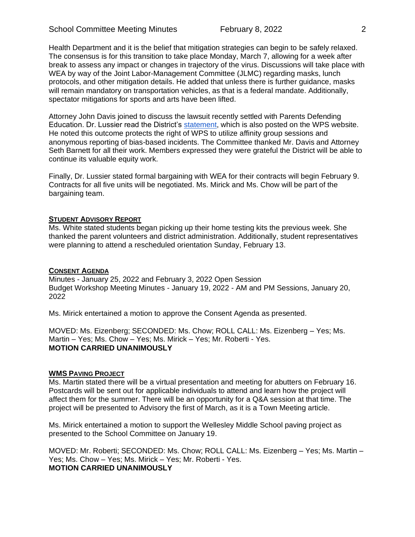Health Department and it is the belief that mitigation strategies can begin to be safely relaxed. The consensus is for this transition to take place Monday, March 7, allowing for a week after break to assess any impact or changes in trajectory of the virus. Discussions will take place with WEA by way of the Joint Labor-Management Committee (JLMC) regarding masks, lunch protocols, and other mitigation details. He added that unless there is further guidance, masks will remain mandatory on transportation vehicles, as that is a federal mandate. Additionally, spectator mitigations for sports and arts have been lifted.

Attorney John Davis joined to discuss the lawsuit recently settled with Parents Defending Education. Dr. Lussier read the District's [statement,](https://wellesleyps.org/wp-content/uploads/2022/02/WPS-Statement-on-PDE-Lawsuit_2.8.2022_FINAL-1.pdf) which is also posted on the WPS website. He noted this outcome protects the right of WPS to utilize affinity group sessions and anonymous reporting of bias-based incidents. The Committee thanked Mr. Davis and Attorney Seth Barnett for all their work. Members expressed they were grateful the District will be able to continue its valuable equity work.

Finally, Dr. Lussier stated formal bargaining with WEA for their contracts will begin February 9. Contracts for all five units will be negotiated. Ms. Mirick and Ms. Chow will be part of the bargaining team.

## **STUDENT ADVISORY REPORT**

Ms. White stated students began picking up their home testing kits the previous week. She thanked the parent volunteers and district administration. Additionally, student representatives were planning to attend a rescheduled orientation Sunday, February 13.

## **CONSENT AGENDA**

Minutes - January 25, 2022 and February 3, 2022 Open Session Budget Workshop Meeting Minutes - January 19, 2022 - AM and PM Sessions, January 20, 2022

Ms. Mirick entertained a motion to approve the Consent Agenda as presented.

MOVED: Ms. Eizenberg; SECONDED: Ms. Chow; ROLL CALL: Ms. Eizenberg – Yes; Ms. Martin – Yes; Ms. Chow – Yes; Ms. Mirick – Yes; Mr. Roberti - Yes. **MOTION CARRIED UNANIMOUSLY**

#### **WMS PAVING PROJECT**

Ms. Martin stated there will be a virtual presentation and meeting for abutters on February 16. Postcards will be sent out for applicable individuals to attend and learn how the project will affect them for the summer. There will be an opportunity for a Q&A session at that time. The project will be presented to Advisory the first of March, as it is a Town Meeting article.

Ms. Mirick entertained a motion to support the Wellesley Middle School paving project as presented to the School Committee on January 19.

MOVED: Mr. Roberti; SECONDED: Ms. Chow; ROLL CALL: Ms. Eizenberg – Yes; Ms. Martin – Yes; Ms. Chow – Yes; Ms. Mirick – Yes; Mr. Roberti - Yes. **MOTION CARRIED UNANIMOUSLY**